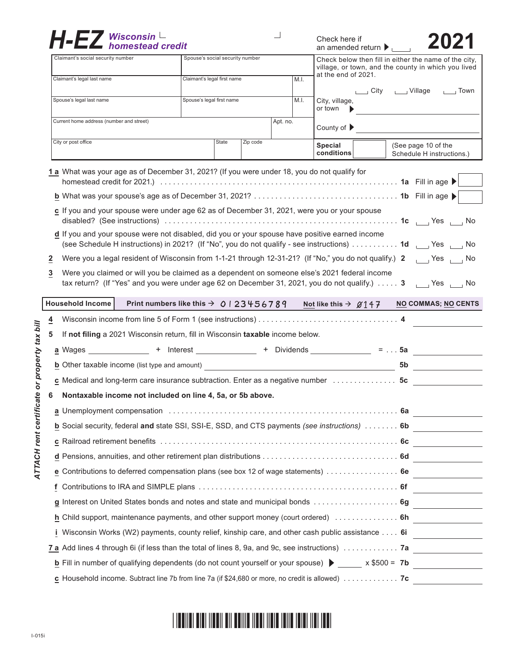|                          | Claimant's social security number                                                                                                           | Spouse's social security number |       |          |    |                            | an amended return $\blacktriangleright$<br>Check below then fill in either the name of the city,<br>village, or town, and the county in which you lived |                      |  |                                                  |                 |
|--------------------------|---------------------------------------------------------------------------------------------------------------------------------------------|---------------------------------|-------|----------|----|----------------------------|---------------------------------------------------------------------------------------------------------------------------------------------------------|----------------------|--|--------------------------------------------------|-----------------|
|                          | Claimant's legal last name                                                                                                                  | Claimant's legal first name     |       |          | ML |                            | at the end of 2021.                                                                                                                                     |                      |  |                                                  |                 |
|                          |                                                                                                                                             |                                 |       |          |    |                            |                                                                                                                                                         | └──」City     Village |  |                                                  | $\sqrt{2}$ Town |
|                          | Spouse's legal last name<br>Spouse's legal first name                                                                                       |                                 |       |          |    | M.I.                       | City, village,<br>or town                                                                                                                               |                      |  |                                                  |                 |
|                          | Current home address (number and street)                                                                                                    | Apt. no.                        |       |          |    | County of $\triangleright$ |                                                                                                                                                         |                      |  |                                                  |                 |
|                          | City or post office                                                                                                                         |                                 | State | Zip code |    |                            | Special<br>conditions                                                                                                                                   |                      |  | (See page 10 of the<br>Schedule H instructions.) |                 |
|                          | 1 a What was your age as of December 31, 2021? (If you were under 18, you do not qualify for                                                |                                 |       |          |    |                            |                                                                                                                                                         |                      |  |                                                  |                 |
|                          |                                                                                                                                             |                                 |       |          |    |                            |                                                                                                                                                         |                      |  |                                                  |                 |
|                          |                                                                                                                                             |                                 |       |          |    |                            |                                                                                                                                                         |                      |  |                                                  |                 |
|                          | c If you and your spouse were under age 62 as of December 31, 2021, were you or your spouse                                                 |                                 |       |          |    |                            |                                                                                                                                                         |                      |  |                                                  |                 |
|                          | d If you and your spouse were not disabled, did you or your spouse have positive earned income                                              |                                 |       |          |    |                            |                                                                                                                                                         |                      |  |                                                  |                 |
|                          | (see Schedule H instructions) in 2021? (If "No", you do not qualify - see instructions)  1d   Yes   No                                      |                                 |       |          |    |                            |                                                                                                                                                         |                      |  |                                                  |                 |
| $\mathbf{2}$             | Were you a legal resident of Wisconsin from 1-1-21 through 12-31-21? (If "No," you do not qualify.) 2 [16] Yes [16] No                      |                                 |       |          |    |                            |                                                                                                                                                         |                      |  |                                                  |                 |
| 3                        | Were you claimed or will you be claimed as a dependent on someone else's 2021 federal income                                                |                                 |       |          |    |                            |                                                                                                                                                         |                      |  |                                                  |                 |
|                          | tax return? (If "Yes" and you were under age 62 on December 31, 2021, you do not qualify.) 3 [12] Yes [12] No                               |                                 |       |          |    |                            |                                                                                                                                                         |                      |  |                                                  |                 |
|                          | Household Income<br>Print numbers like this $\rightarrow$ 0 1 2 3 4 5 6 7 8 9                                                               |                                 |       |          |    |                            | Not like this $\rightarrow$ $\cancel{\alpha}$ 147                                                                                                       |                      |  | <b>NO COMMAS; NO CENTS</b>                       |                 |
|                          |                                                                                                                                             |                                 |       |          |    |                            |                                                                                                                                                         |                      |  |                                                  |                 |
|                          |                                                                                                                                             |                                 |       |          |    |                            |                                                                                                                                                         |                      |  |                                                  |                 |
|                          | If not filing a 2021 Wisconsin return, fill in Wisconsin taxable income below.                                                              |                                 |       |          |    |                            |                                                                                                                                                         |                      |  |                                                  |                 |
|                          | <u>a</u> Wages _______________ + Interest ____________ + Dividends ____________ =  5a                                                       |                                 |       |          |    |                            |                                                                                                                                                         |                      |  |                                                  |                 |
|                          |                                                                                                                                             |                                 |       |          |    |                            |                                                                                                                                                         |                      |  |                                                  |                 |
|                          | c Medical and long-term care insurance subtraction. Enter as a negative number 5c                                                           |                                 |       |          |    |                            |                                                                                                                                                         |                      |  | 5b                                               |                 |
|                          | Nontaxable income not included on line 4, 5a, or 5b above.                                                                                  |                                 |       |          |    |                            |                                                                                                                                                         |                      |  |                                                  |                 |
| $\overline{4}$<br>5<br>6 |                                                                                                                                             |                                 |       |          |    |                            |                                                                                                                                                         |                      |  |                                                  |                 |
|                          |                                                                                                                                             |                                 |       |          |    |                            |                                                                                                                                                         |                      |  |                                                  |                 |
|                          | b Social security, federal and state SSI, SSI-E, SSD, and CTS payments (see instructions)  6b                                               |                                 |       |          |    |                            |                                                                                                                                                         |                      |  |                                                  |                 |
|                          |                                                                                                                                             |                                 |       |          |    |                            |                                                                                                                                                         |                      |  |                                                  |                 |
|                          |                                                                                                                                             |                                 |       |          |    |                            |                                                                                                                                                         |                      |  |                                                  |                 |
|                          | e Contributions to deferred compensation plans (see box 12 of wage statements)  6e                                                          |                                 |       |          |    |                            |                                                                                                                                                         |                      |  |                                                  |                 |
|                          |                                                                                                                                             |                                 |       |          |    |                            |                                                                                                                                                         |                      |  |                                                  |                 |
|                          | g Interest on United States bonds and notes and state and municipal bonds  6g                                                               |                                 |       |          |    |                            |                                                                                                                                                         |                      |  |                                                  |                 |
|                          | h Child support, maintenance payments, and other support money (court ordered)  6h ____________                                             |                                 |       |          |    |                            |                                                                                                                                                         |                      |  |                                                  |                 |
|                          | i Wisconsin Works (W2) payments, county relief, kinship care, and other cash public assistance 6i ____________                              |                                 |       |          |    |                            |                                                                                                                                                         |                      |  |                                                  |                 |
|                          |                                                                                                                                             |                                 |       |          |    |                            |                                                                                                                                                         |                      |  |                                                  |                 |
|                          | <b>b</b> Fill in number of qualifying dependents (do not count yourself or your spouse) $\triangleright$ _____ x \$500 = 7b _______________ |                                 |       |          |    |                            |                                                                                                                                                         |                      |  |                                                  |                 |

##